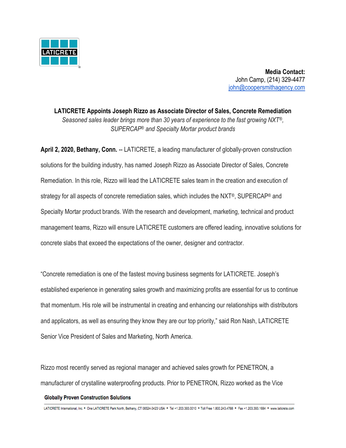

**Media Contact:** John Camp, (214) 329-4477 [john@coopersmithagency.com](mailto:john@coopersmithagency.com)

**LATICRETE Appoints Joseph Rizzo as Associate Director of Sales, Concrete Remediation** *Seasoned sales leader brings more than 30 years of experience to the fast growing NXT®, SUPERCAP® and Specialty Mortar product brands*

**April 2, 2020, Bethany, Conn.** -- LATICRETE, a leading manufacturer of globally-proven construction solutions for the building industry, has named Joseph Rizzo as Associate Director of Sales, Concrete Remediation. In this role, Rizzo will lead the LATICRETE sales team in the creation and execution of strategy for all aspects of concrete remediation sales, which includes the NXT®, SUPERCAP® and Specialty Mortar product brands. With the research and development, marketing, technical and product management teams, Rizzo will ensure LATICRETE customers are offered leading, innovative solutions for concrete slabs that exceed the expectations of the owner, designer and contractor.

"Concrete remediation is one of the fastest moving business segments for LATICRETE. Joseph's established experience in generating sales growth and maximizing profits are essential for us to continue that momentum. His role will be instrumental in creating and enhancing our relationships with distributors and applicators, as well as ensuring they know they are our top priority," said Ron Nash, LATICRETE Senior Vice President of Sales and Marketing, North America.

Rizzo most recently served as regional manager and achieved sales growth for PENETRON, a manufacturer of crystalline waterproofing products. Prior to PENETRON, Rizzo worked as the Vice

## **Globally Proven Construction Solutions**